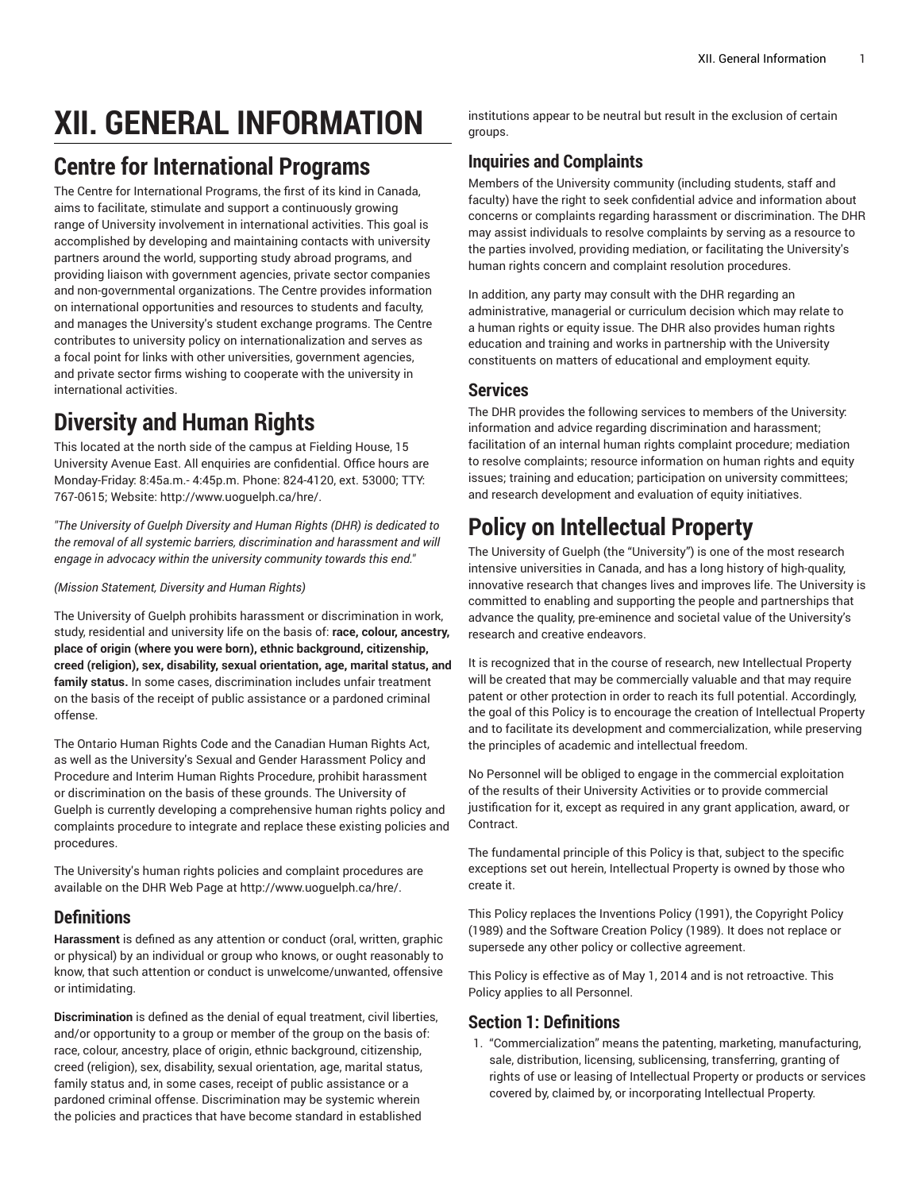# **XII. GENERAL INFORMATION**

# **Centre for International Programs**

The Centre for International Programs, the first of its kind in Canada, aims to facilitate, stimulate and support a continuously growing range of University involvement in international activities. This goal is accomplished by developing and maintaining contacts with university partners around the world, supporting study abroad programs, and providing liaison with government agencies, private sector companies and non-governmental organizations. The Centre provides information on international opportunities and resources to students and faculty, and manages the University's student exchange programs. The Centre contributes to university policy on internationalization and serves as a focal point for links with other universities, government agencies, and private sector firms wishing to cooperate with the university in international activities.

# **Diversity and Human Rights**

This located at the north side of the campus at Fielding House, 15 University Avenue East. All enquiries are confidential. Office hours are Monday-Friday: 8:45a.m.- 4:45p.m. Phone: 824-4120, ext. 53000; TTY: 767-0615; Website: [http://www.uoguelph.ca/hre/.](�/�ٝD
�h�y@�m���%�2߾8)

*"The University of Guelph Diversity and Human Rights (DHR) is dedicated to the removal of all systemic barriers, discrimination and harassment and will engage in advocacy within the university community towards this end."*

#### *(Mission Statement, Diversity and Human Rights)*

The University of Guelph prohibits harassment or discrimination in work, study, residential and university life on the basis of: **race, colour, ancestry, place of origin (where you were born), ethnic background, citizenship, creed (religion), sex, disability, sexual orientation, age, marital status, and family status.** In some cases, discrimination includes unfair treatment on the basis of the receipt of public assistance or a pardoned criminal offense.

The Ontario Human Rights Code and the Canadian Human Rights Act, as well as the University's Sexual and Gender Harassment Policy and Procedure and Interim Human Rights Procedure, prohibit harassment or discrimination on the basis of these grounds. The University of Guelph is currently developing a comprehensive human rights policy and complaints procedure to integrate and replace these existing policies and procedures.

The University's human rights policies and complaint procedures are available on the DHR Web Page at [http://www.uoguelph.ca/hre/](�/�ٝD
�h�y@�m���%�2߾8).

#### **Definitions**

**Harassment** is defined as any attention or conduct (oral, written, graphic or physical) by an individual or group who knows, or ought reasonably to know, that such attention or conduct is unwelcome/unwanted, offensive or intimidating.

**Discrimination** is defined as the denial of equal treatment, civil liberties, and/or opportunity to a group or member of the group on the basis of: race, colour, ancestry, place of origin, ethnic background, citizenship, creed (religion), sex, disability, sexual orientation, age, marital status, family status and, in some cases, receipt of public assistance or a pardoned criminal offense. Discrimination may be systemic wherein the policies and practices that have become standard in established

institutions appear to be neutral but result in the exclusion of certain groups.

#### **Inquiries and Complaints**

Members of the University community (including students, staff and faculty) have the right to seek confidential advice and information about concerns or complaints regarding harassment or discrimination. The DHR may assist individuals to resolve complaints by serving as a resource to the parties involved, providing mediation, or facilitating the University's human rights concern and complaint resolution procedures.

In addition, any party may consult with the DHR regarding an administrative, managerial or curriculum decision which may relate to a human rights or equity issue. The DHR also provides human rights education and training and works in partnership with the University constituents on matters of educational and employment equity.

#### **Services**

The DHR provides the following services to members of the University: information and advice regarding discrimination and harassment; facilitation of an internal human rights complaint procedure; mediation to resolve complaints; resource information on human rights and equity issues; training and education; participation on university committees; and research development and evaluation of equity initiatives.

# **Policy on Intellectual Property**

The University of Guelph (the "University") is one of the most research intensive universities in Canada, and has a long history of high-quality, innovative research that changes lives and improves life. The University is committed to enabling and supporting the people and partnerships that advance the quality, pre-eminence and societal value of the University's research and creative endeavors.

It is recognized that in the course of research, new Intellectual Property will be created that may be commercially valuable and that may require patent or other protection in order to reach its full potential. Accordingly, the goal of this Policy is to encourage the creation of Intellectual Property and to facilitate its development and commercialization, while preserving the principles of academic and intellectual freedom.

No Personnel will be obliged to engage in the commercial exploitation of the results of their University Activities or to provide commercial justification for it, except as required in any grant application, award, or Contract.

The fundamental principle of this Policy is that, subject to the specific exceptions set out herein, Intellectual Property is owned by those who create it.

This Policy replaces the Inventions Policy (1991), the Copyright Policy (1989) and the Software Creation Policy (1989). It does not replace or supersede any other policy or collective agreement.

This Policy is effective as of May 1, 2014 and is not retroactive. This Policy applies to all Personnel.

#### **Section 1: Definitions**

1. "Commercialization" means the patenting, marketing, manufacturing, sale, distribution, licensing, sublicensing, transferring, granting of rights of use or leasing of Intellectual Property or products or services covered by, claimed by, or incorporating Intellectual Property.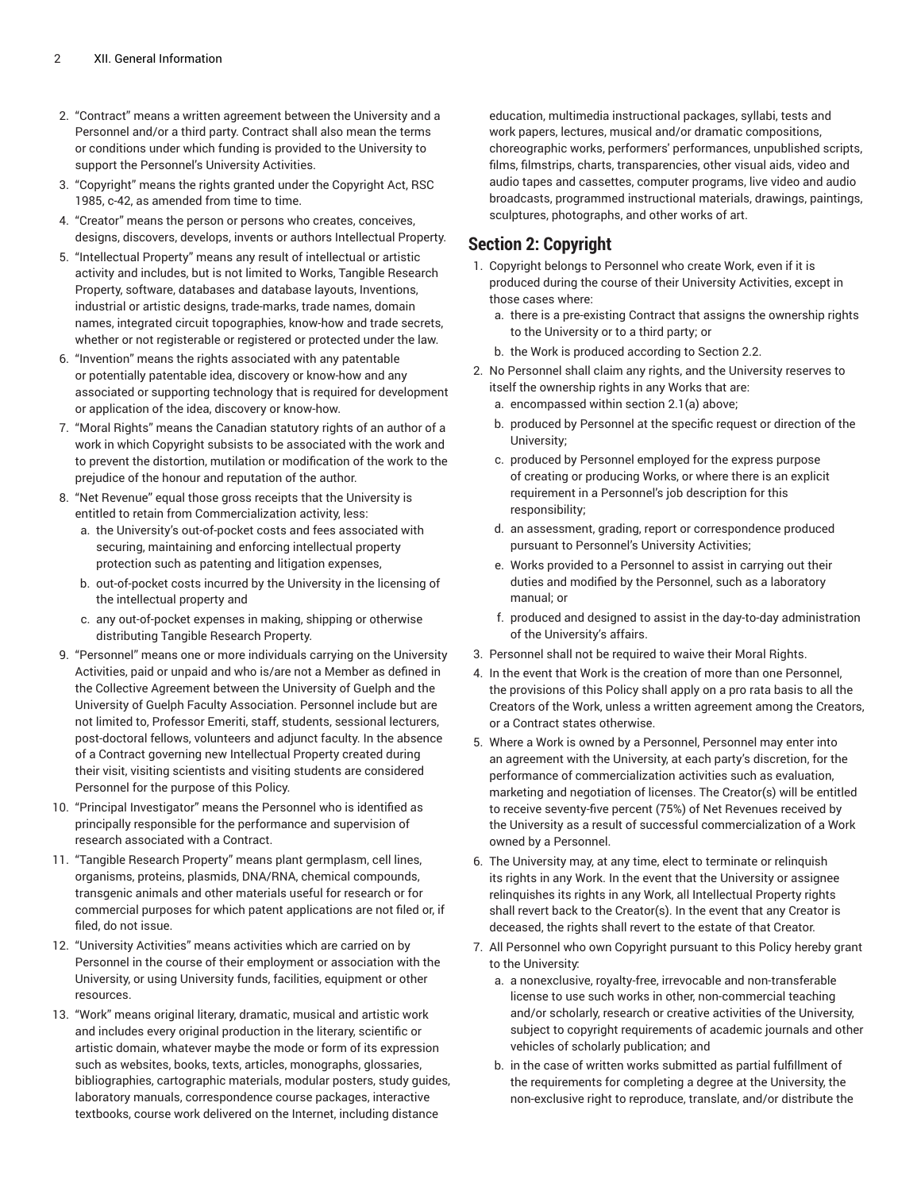- 2. "Contract" means a written agreement between the University and a Personnel and/or a third party. Contract shall also mean the terms or conditions under which funding is provided to the University to support the Personnel's University Activities.
- 3. "Copyright" means the rights granted under the Copyright Act, RSC 1985, c-42, as amended from time to time.
- 4. "Creator" means the person or persons who creates, conceives, designs, discovers, develops, invents or authors Intellectual Property.
- 5. "Intellectual Property" means any result of intellectual or artistic activity and includes, but is not limited to Works, Tangible Research Property, software, databases and database layouts, Inventions, industrial or artistic designs, trade-marks, trade names, domain names, integrated circuit topographies, know-how and trade secrets, whether or not registerable or registered or protected under the law.
- 6. "Invention" means the rights associated with any patentable or potentially patentable idea, discovery or know-how and any associated or supporting technology that is required for development or application of the idea, discovery or know-how.
- 7. "Moral Rights" means the Canadian statutory rights of an author of a work in which Copyright subsists to be associated with the work and to prevent the distortion, mutilation or modification of the work to the prejudice of the honour and reputation of the author.
- 8. "Net Revenue" equal those gross receipts that the University is entitled to retain from Commercialization activity, less:
	- a. the University's out-of-pocket costs and fees associated with securing, maintaining and enforcing intellectual property protection such as patenting and litigation expenses,
	- b. out-of-pocket costs incurred by the University in the licensing of the intellectual property and
	- c. any out-of-pocket expenses in making, shipping or otherwise distributing Tangible Research Property.
- 9. "Personnel" means one or more individuals carrying on the University Activities, paid or unpaid and who is/are not a Member as defined in the Collective Agreement between the University of Guelph and the University of Guelph Faculty Association. Personnel include but are not limited to, Professor Emeriti, staff, students, sessional lecturers, post-doctoral fellows, volunteers and adjunct faculty. In the absence of a Contract governing new Intellectual Property created during their visit, visiting scientists and visiting students are considered Personnel for the purpose of this Policy.
- 10. "Principal Investigator" means the Personnel who is identified as principally responsible for the performance and supervision of research associated with a Contract.
- 11. "Tangible Research Property" means plant germplasm, cell lines, organisms, proteins, plasmids, DNA/RNA, chemical compounds, transgenic animals and other materials useful for research or for commercial purposes for which patent applications are not filed or, if filed, do not issue.
- 12. "University Activities" means activities which are carried on by Personnel in the course of their employment or association with the University, or using University funds, facilities, equipment or other resources.
- 13. "Work" means original literary, dramatic, musical and artistic work and includes every original production in the literary, scientific or artistic domain, whatever maybe the mode or form of its expression such as websites, books, texts, articles, monographs, glossaries, bibliographies, cartographic materials, modular posters, study guides, laboratory manuals, correspondence course packages, interactive textbooks, course work delivered on the Internet, including distance

education, multimedia instructional packages, syllabi, tests and work papers, lectures, musical and/or dramatic compositions, choreographic works, performers' performances, unpublished scripts, films, filmstrips, charts, transparencies, other visual aids, video and audio tapes and cassettes, computer programs, live video and audio broadcasts, programmed instructional materials, drawings, paintings, sculptures, photographs, and other works of art.

#### **Section 2: Copyright**

- 1. Copyright belongs to Personnel who create Work, even if it is produced during the course of their University Activities, except in those cases where:
	- a. there is a pre-existing Contract that assigns the ownership rights to the University or to a third party; or
	- b. the Work is produced according to Section 2.2.
- 2. No Personnel shall claim any rights, and the University reserves to itself the ownership rights in any Works that are:
	- a. encompassed within section 2.1(a) above;
	- b. produced by Personnel at the specific request or direction of the University;
	- c. produced by Personnel employed for the express purpose of creating or producing Works, or where there is an explicit requirement in a Personnel's job description for this responsibility;
	- d. an assessment, grading, report or correspondence produced pursuant to Personnel's University Activities;
	- e. Works provided to a Personnel to assist in carrying out their duties and modified by the Personnel, such as a laboratory manual; or
	- f. produced and designed to assist in the day-to-day administration of the University's affairs.
- 3. Personnel shall not be required to waive their Moral Rights.
- 4. In the event that Work is the creation of more than one Personnel, the provisions of this Policy shall apply on a pro rata basis to all the Creators of the Work, unless a written agreement among the Creators, or a Contract states otherwise.
- 5. Where a Work is owned by a Personnel, Personnel may enter into an agreement with the University, at each party's discretion, for the performance of commercialization activities such as evaluation, marketing and negotiation of licenses. The Creator(s) will be entitled to receive seventy-five percent (75%) of Net Revenues received by the University as a result of successful commercialization of a Work owned by a Personnel.
- 6. The University may, at any time, elect to terminate or relinquish its rights in any Work. In the event that the University or assignee relinquishes its rights in any Work, all Intellectual Property rights shall revert back to the Creator(s). In the event that any Creator is deceased, the rights shall revert to the estate of that Creator.
- 7. All Personnel who own Copyright pursuant to this Policy hereby grant to the University:
	- a. a nonexclusive, royalty-free, irrevocable and non-transferable license to use such works in other, non-commercial teaching and/or scholarly, research or creative activities of the University, subject to copyright requirements of academic journals and other vehicles of scholarly publication; and
	- b. in the case of written works submitted as partial fulfillment of the requirements for completing a degree at the University, the non-exclusive right to reproduce, translate, and/or distribute the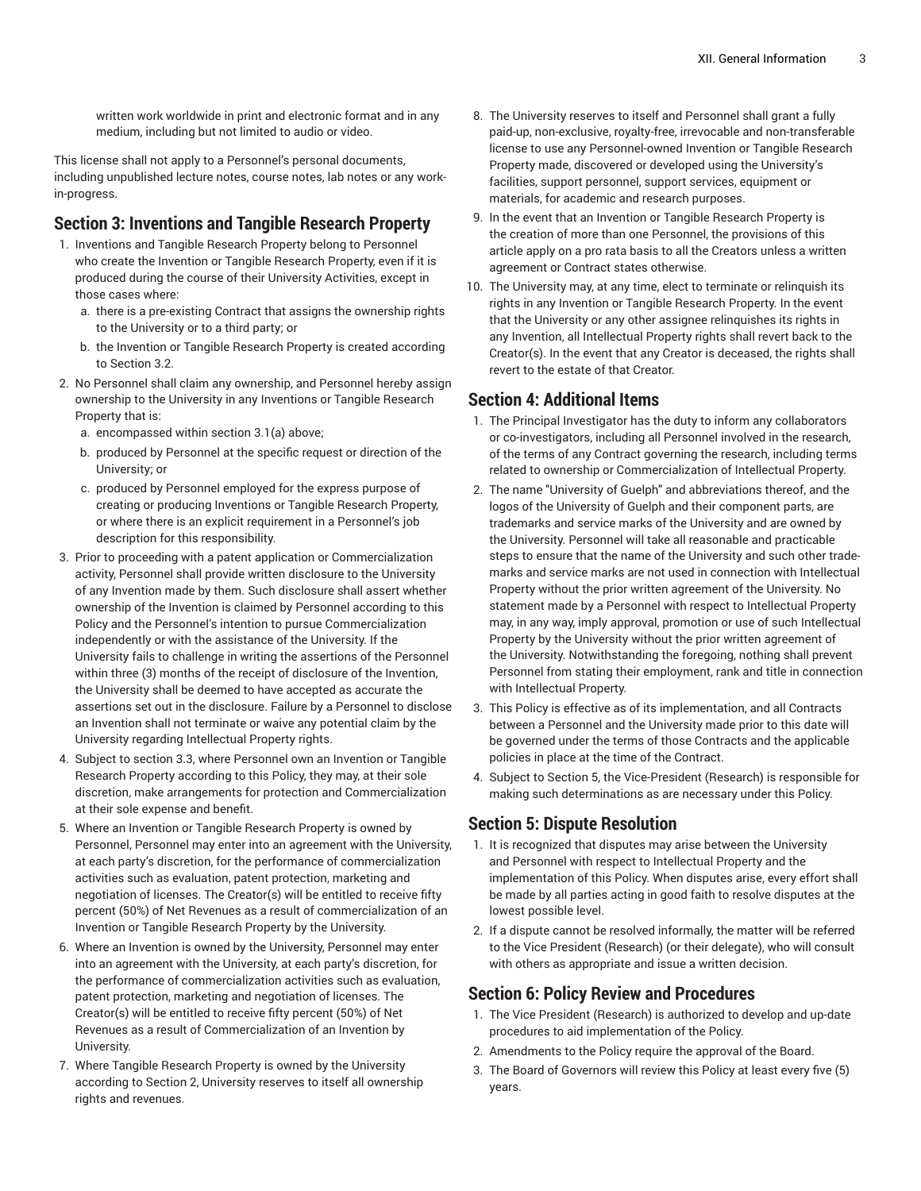written work worldwide in print and electronic format and in any medium, including but not limited to audio or video.

This license shall not apply to a Personnel's personal documents, including unpublished lecture notes, course notes, lab notes or any workin-progress.

#### **Section 3: Inventions and Tangible Research Property**

- 1. Inventions and Tangible Research Property belong to Personnel who create the Invention or Tangible Research Property, even if it is produced during the course of their University Activities, except in those cases where:
	- a. there is a pre-existing Contract that assigns the ownership rights to the University or to a third party; or
	- b. the Invention or Tangible Research Property is created according to Section 3.2.
- 2. No Personnel shall claim any ownership, and Personnel hereby assign ownership to the University in any Inventions or Tangible Research Property that is:
	- a. encompassed within section 3.1(a) above;
	- b. produced by Personnel at the specific request or direction of the University; or
	- c. produced by Personnel employed for the express purpose of creating or producing Inventions or Tangible Research Property, or where there is an explicit requirement in a Personnel's job description for this responsibility.
- 3. Prior to proceeding with a patent application or Commercialization activity, Personnel shall provide written disclosure to the University of any Invention made by them. Such disclosure shall assert whether ownership of the Invention is claimed by Personnel according to this Policy and the Personnel's intention to pursue Commercialization independently or with the assistance of the University. If the University fails to challenge in writing the assertions of the Personnel within three (3) months of the receipt of disclosure of the Invention, the University shall be deemed to have accepted as accurate the assertions set out in the disclosure. Failure by a Personnel to disclose an Invention shall not terminate or waive any potential claim by the University regarding Intellectual Property rights.
- 4. Subject to section 3.3, where Personnel own an Invention or Tangible Research Property according to this Policy, they may, at their sole discretion, make arrangements for protection and Commercialization at their sole expense and benefit.
- 5. Where an Invention or Tangible Research Property is owned by Personnel, Personnel may enter into an agreement with the University, at each party's discretion, for the performance of commercialization activities such as evaluation, patent protection, marketing and negotiation of licenses. The Creator(s) will be entitled to receive fifty percent (50%) of Net Revenues as a result of commercialization of an Invention or Tangible Research Property by the University.
- 6. Where an Invention is owned by the University, Personnel may enter into an agreement with the University, at each party's discretion, for the performance of commercialization activities such as evaluation, patent protection, marketing and negotiation of licenses. The Creator(s) will be entitled to receive fifty percent (50%) of Net Revenues as a result of Commercialization of an Invention by University.
- 7. Where Tangible Research Property is owned by the University according to Section 2, University reserves to itself all ownership rights and revenues.
- 8. The University reserves to itself and Personnel shall grant a fully paid-up, non-exclusive, royalty-free, irrevocable and non-transferable license to use any Personnel-owned Invention or Tangible Research Property made, discovered or developed using the University's facilities, support personnel, support services, equipment or materials, for academic and research purposes.
- 9. In the event that an Invention or Tangible Research Property is the creation of more than one Personnel, the provisions of this article apply on a pro rata basis to all the Creators unless a written agreement or Contract states otherwise.
- 10. The University may, at any time, elect to terminate or relinquish its rights in any Invention or Tangible Research Property. In the event that the University or any other assignee relinquishes its rights in any Invention, all Intellectual Property rights shall revert back to the Creator(s). In the event that any Creator is deceased, the rights shall revert to the estate of that Creator.

#### **Section 4: Additional Items**

- 1. The Principal Investigator has the duty to inform any collaborators or co-investigators, including all Personnel involved in the research, of the terms of any Contract governing the research, including terms related to ownership or Commercialization of Intellectual Property.
- 2. The name "University of Guelph" and abbreviations thereof, and the logos of the University of Guelph and their component parts, are trademarks and service marks of the University and are owned by the University. Personnel will take all reasonable and practicable steps to ensure that the name of the University and such other trademarks and service marks are not used in connection with Intellectual Property without the prior written agreement of the University. No statement made by a Personnel with respect to Intellectual Property may, in any way, imply approval, promotion or use of such Intellectual Property by the University without the prior written agreement of the University. Notwithstanding the foregoing, nothing shall prevent Personnel from stating their employment, rank and title in connection with Intellectual Property.
- 3. This Policy is effective as of its implementation, and all Contracts between a Personnel and the University made prior to this date will be governed under the terms of those Contracts and the applicable policies in place at the time of the Contract.
- 4. Subject to Section 5, the Vice-President (Research) is responsible for making such determinations as are necessary under this Policy.

#### **Section 5: Dispute Resolution**

- 1. It is recognized that disputes may arise between the University and Personnel with respect to Intellectual Property and the implementation of this Policy. When disputes arise, every effort shall be made by all parties acting in good faith to resolve disputes at the lowest possible level.
- 2. If a dispute cannot be resolved informally, the matter will be referred to the Vice President (Research) (or their delegate), who will consult with others as appropriate and issue a written decision.

#### **Section 6: Policy Review and Procedures**

- 1. The Vice President (Research) is authorized to develop and up-date procedures to aid implementation of the Policy.
- 2. Amendments to the Policy require the approval of the Board.
- 3. The Board of Governors will review this Policy at least every five (5) years.